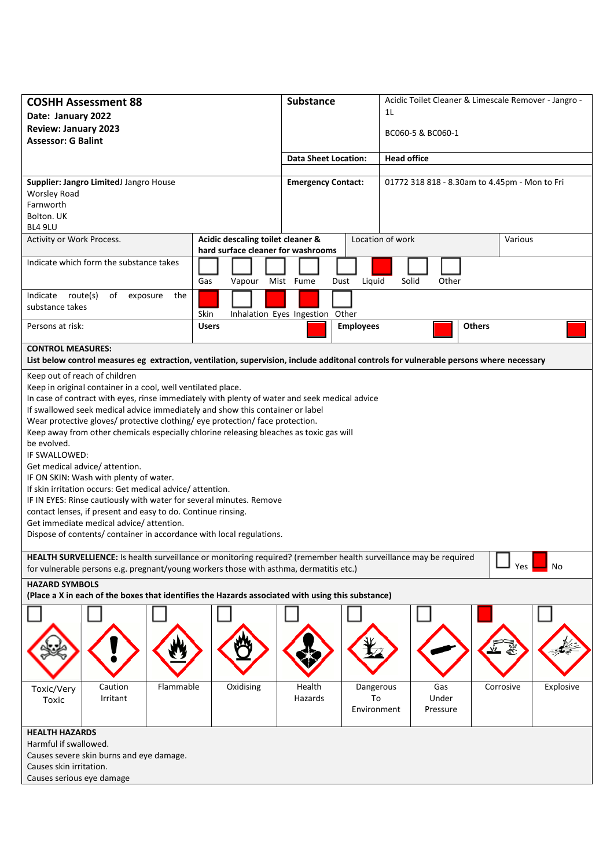| <b>COSHH Assessment 88</b><br>Date: January 2022<br><b>Review: January 2023</b><br><b>Assessor: G Balint</b>                                                                                                                                                                                                                                                                                                                                                                                                                                                                                                                                                                                                                                                                                                                                                                                  |                                                                         | <b>Substance</b>                |                                               | Acidic Toilet Cleaner & Limescale Remover - Jangro -<br>1L<br>BC060-5 & BC060-1 |               |           |  |  |  |  |
|-----------------------------------------------------------------------------------------------------------------------------------------------------------------------------------------------------------------------------------------------------------------------------------------------------------------------------------------------------------------------------------------------------------------------------------------------------------------------------------------------------------------------------------------------------------------------------------------------------------------------------------------------------------------------------------------------------------------------------------------------------------------------------------------------------------------------------------------------------------------------------------------------|-------------------------------------------------------------------------|---------------------------------|-----------------------------------------------|---------------------------------------------------------------------------------|---------------|-----------|--|--|--|--|
|                                                                                                                                                                                                                                                                                                                                                                                                                                                                                                                                                                                                                                                                                                                                                                                                                                                                                               | <b>Data Sheet Location:</b>                                             |                                 | <b>Head office</b>                            |                                                                                 |               |           |  |  |  |  |
| Supplier: Jangro LimitedJ Jangro House<br><b>Worsley Road</b><br>Farnworth<br>Bolton. UK<br>BL4 9LU                                                                                                                                                                                                                                                                                                                                                                                                                                                                                                                                                                                                                                                                                                                                                                                           | <b>Emergency Contact:</b>                                               |                                 | 01772 318 818 - 8.30am to 4.45pm - Mon to Fri |                                                                                 |               |           |  |  |  |  |
| Activity or Work Process.                                                                                                                                                                                                                                                                                                                                                                                                                                                                                                                                                                                                                                                                                                                                                                                                                                                                     | Acidic descaling toilet cleaner &<br>hard surface cleaner for washrooms |                                 |                                               | Location of work<br>Various                                                     |               |           |  |  |  |  |
| Indicate which form the substance takes                                                                                                                                                                                                                                                                                                                                                                                                                                                                                                                                                                                                                                                                                                                                                                                                                                                       | Gas<br>Vapour                                                           | Mist Fume<br>Dust               | Liquid                                        | Solid<br>Other                                                                  |               |           |  |  |  |  |
| route(s)<br>of<br>Indicate<br>the<br>exposure<br>substance takes                                                                                                                                                                                                                                                                                                                                                                                                                                                                                                                                                                                                                                                                                                                                                                                                                              | Skin                                                                    | Inhalation Eyes Ingestion Other |                                               |                                                                                 |               |           |  |  |  |  |
| Persons at risk:                                                                                                                                                                                                                                                                                                                                                                                                                                                                                                                                                                                                                                                                                                                                                                                                                                                                              | <b>Users</b>                                                            |                                 | <b>Employees</b>                              |                                                                                 | <b>Others</b> |           |  |  |  |  |
| <b>CONTROL MEASURES:</b><br>List below control measures eg extraction, ventilation, supervision, include additonal controls for vulnerable persons where necessary                                                                                                                                                                                                                                                                                                                                                                                                                                                                                                                                                                                                                                                                                                                            |                                                                         |                                 |                                               |                                                                                 |               |           |  |  |  |  |
| Keep out of reach of children<br>Keep in original container in a cool, well ventilated place.<br>In case of contract with eyes, rinse immediately with plenty of water and seek medical advice<br>If swallowed seek medical advice immediately and show this container or label<br>Wear protective gloves/ protective clothing/ eye protection/ face protection.<br>Keep away from other chemicals especially chlorine releasing bleaches as toxic gas will<br>be evolved.<br>IF SWALLOWED:<br>Get medical advice/ attention.<br>IF ON SKIN: Wash with plenty of water.<br>If skin irritation occurs: Get medical advice/attention.<br>IF IN EYES: Rinse cautiously with water for several minutes. Remove<br>contact lenses, if present and easy to do. Continue rinsing.<br>Get immediate medical advice/attention.<br>Dispose of contents/ container in accordance with local regulations. |                                                                         |                                 |                                               |                                                                                 |               |           |  |  |  |  |
| HEALTH SURVELLIENCE: Is health surveillance or monitoring required? (remember health surveillance may be required<br>Yes<br>No<br>for vulnerable persons e.g. pregnant/young workers those with asthma, dermatitis etc.)                                                                                                                                                                                                                                                                                                                                                                                                                                                                                                                                                                                                                                                                      |                                                                         |                                 |                                               |                                                                                 |               |           |  |  |  |  |
| <b>HAZARD SYMBOLS</b><br>(Place a X in each of the boxes that identifies the Hazards associated with using this substance)                                                                                                                                                                                                                                                                                                                                                                                                                                                                                                                                                                                                                                                                                                                                                                    |                                                                         |                                 |                                               |                                                                                 |               |           |  |  |  |  |
|                                                                                                                                                                                                                                                                                                                                                                                                                                                                                                                                                                                                                                                                                                                                                                                                                                                                                               |                                                                         |                                 |                                               |                                                                                 |               |           |  |  |  |  |
| Flammable<br>Caution<br>Toxic/Very<br>Irritant<br>Toxic                                                                                                                                                                                                                                                                                                                                                                                                                                                                                                                                                                                                                                                                                                                                                                                                                                       | Oxidising                                                               | Health<br>Hazards               | Dangerous<br>To<br>Environment                | Gas<br>Under<br>Pressure                                                        | Corrosive     | Explosive |  |  |  |  |
| <b>HEALTH HAZARDS</b><br>Harmful if swallowed.<br>Causes severe skin burns and eye damage.<br>Causes skin irritation.<br>Causes serious eye damage                                                                                                                                                                                                                                                                                                                                                                                                                                                                                                                                                                                                                                                                                                                                            |                                                                         |                                 |                                               |                                                                                 |               |           |  |  |  |  |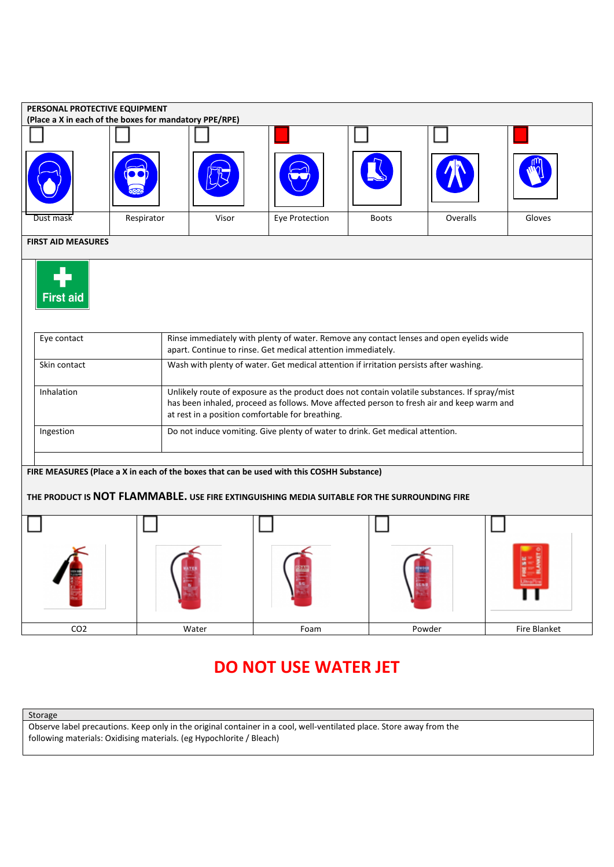| PERSONAL PROTECTIVE EQUIPMENT                                                                                                                                                             |            |                                                                                                                                                                                                                                                |                |              |          |                     |  |  |  |  |  |
|-------------------------------------------------------------------------------------------------------------------------------------------------------------------------------------------|------------|------------------------------------------------------------------------------------------------------------------------------------------------------------------------------------------------------------------------------------------------|----------------|--------------|----------|---------------------|--|--|--|--|--|
| (Place a X in each of the boxes for mandatory PPE/RPE)                                                                                                                                    |            |                                                                                                                                                                                                                                                |                |              |          |                     |  |  |  |  |  |
|                                                                                                                                                                                           |            |                                                                                                                                                                                                                                                |                |              |          |                     |  |  |  |  |  |
|                                                                                                                                                                                           |            |                                                                                                                                                                                                                                                |                |              |          |                     |  |  |  |  |  |
| Dust mask                                                                                                                                                                                 | Respirator | Visor                                                                                                                                                                                                                                          | Eye Protection | <b>Boots</b> | Overalls | Gloves              |  |  |  |  |  |
| <b>FIRST AID MEASURES</b>                                                                                                                                                                 |            |                                                                                                                                                                                                                                                |                |              |          |                     |  |  |  |  |  |
| <b>First aid</b>                                                                                                                                                                          |            |                                                                                                                                                                                                                                                |                |              |          |                     |  |  |  |  |  |
| Eye contact                                                                                                                                                                               |            | Rinse immediately with plenty of water. Remove any contact lenses and open eyelids wide<br>apart. Continue to rinse. Get medical attention immediately.                                                                                        |                |              |          |                     |  |  |  |  |  |
| Skin contact                                                                                                                                                                              |            | Wash with plenty of water. Get medical attention if irritation persists after washing.                                                                                                                                                         |                |              |          |                     |  |  |  |  |  |
| Inhalation                                                                                                                                                                                |            | Unlikely route of exposure as the product does not contain volatile substances. If spray/mist<br>has been inhaled, proceed as follows. Move affected person to fresh air and keep warm and<br>at rest in a position comfortable for breathing. |                |              |          |                     |  |  |  |  |  |
| Ingestion                                                                                                                                                                                 |            | Do not induce vomiting. Give plenty of water to drink. Get medical attention.                                                                                                                                                                  |                |              |          |                     |  |  |  |  |  |
| FIRE MEASURES (Place a X in each of the boxes that can be used with this COSHH Substance)<br>THE PRODUCT IS NOT FLAMMABLE. USE FIRE EXTINGUISHING MEDIA SUITABLE FOR THE SURROUNDING FIRE |            |                                                                                                                                                                                                                                                |                |              |          |                     |  |  |  |  |  |
|                                                                                                                                                                                           |            |                                                                                                                                                                                                                                                |                |              |          |                     |  |  |  |  |  |
|                                                                                                                                                                                           |            |                                                                                                                                                                                                                                                |                |              |          |                     |  |  |  |  |  |
| CO <sub>2</sub>                                                                                                                                                                           |            | Water                                                                                                                                                                                                                                          | Foam           |              | Powder   | <b>Fire Blanket</b> |  |  |  |  |  |

## **DO NOT USE WATER JET**

Storage

Observe label precautions. Keep only in the original container in a cool, well-ventilated place. Store away from the following materials: Oxidising materials. (eg Hypochlorite / Bleach)